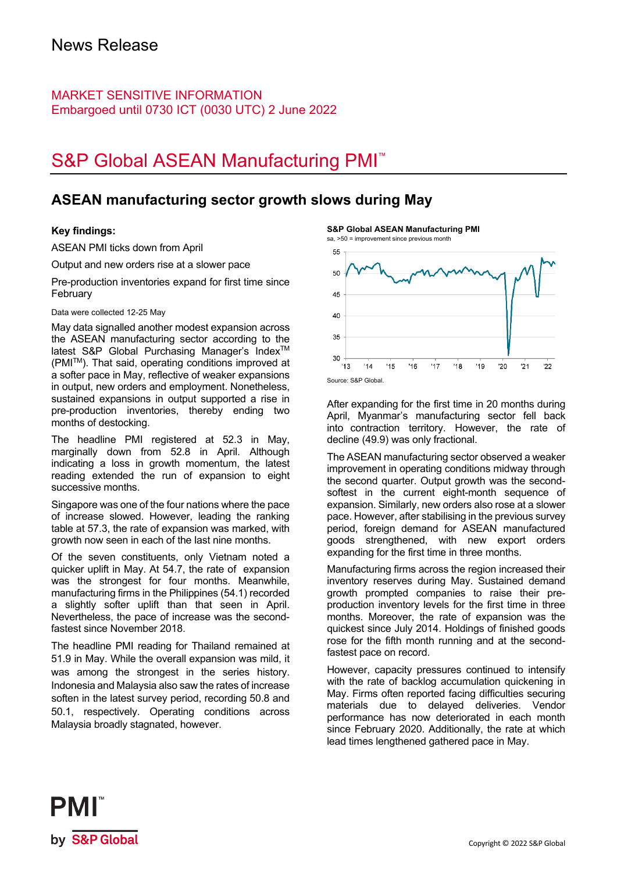### MARKET SENSITIVE INFORMATION Embargoed until 0730 ICT (0030 UTC) 2 June 2022

# S&P Global ASEAN Manufacturing PMI<sup>™</sup>

## **ASEAN manufacturing sector growth slows during May**

### **Key findings:**

ASEAN PMI ticks down from April

Output and new orders rise at a slower pace

Pre-production inventories expand for first time since February

### Data were collected 12-25 May

May data signalled another modest expansion across the ASEAN manufacturing sector according to the latest S&P Global Purchasing Manager's Index<sup>™</sup> (PMITM). That said, operating conditions improved at a softer pace in May, reflective of weaker expansions in output, new orders and employment. Nonetheless, sustained expansions in output supported a rise in pre-production inventories, thereby ending two months of destocking.

The headline PMI registered at 52.3 in May, marginally down from 52.8 in April. Although indicating a loss in growth momentum, the latest reading extended the run of expansion to eight successive months.

Singapore was one of the four nations where the pace of increase slowed. However, leading the ranking table at 57.3, the rate of expansion was marked, with growth now seen in each of the last nine months.

Of the seven constituents, only Vietnam noted a quicker uplift in May. At 54.7, the rate of expansion was the strongest for four months. Meanwhile, manufacturing firms in the Philippines (54.1) recorded a slightly softer uplift than that seen in April. Nevertheless, the pace of increase was the secondfastest since November 2018.

The headline PMI reading for Thailand remained at 51.9 in May. While the overall expansion was mild, it was among the strongest in the series history. Indonesia and Malaysia also saw the rates of increase soften in the latest survey period, recording 50.8 and 50.1, respectively. Operating conditions across Malaysia broadly stagnated, however.





After expanding for the first time in 20 months during April, Myanmar's manufacturing sector fell back into contraction territory. However, the rate of decline (49.9) was only fractional.

The ASEAN manufacturing sector observed a weaker improvement in operating conditions midway through the second quarter. Output growth was the secondsoftest in the current eight-month sequence of expansion. Similarly, new orders also rose at a slower pace. However, after stabilising in the previous survey period, foreign demand for ASEAN manufactured goods strengthened, with new export orders expanding for the first time in three months.

Manufacturing firms across the region increased their inventory reserves during May. Sustained demand growth prompted companies to raise their preproduction inventory levels for the first time in three months. Moreover, the rate of expansion was the quickest since July 2014. Holdings of finished goods rose for the fifth month running and at the secondfastest pace on record.

However, capacity pressures continued to intensify with the rate of backlog accumulation quickening in May. Firms often reported facing difficulties securing materials due to delayed deliveries. Vendor performance has now deteriorated in each month since February 2020. Additionally, the rate at which lead times lengthened gathered pace in May.

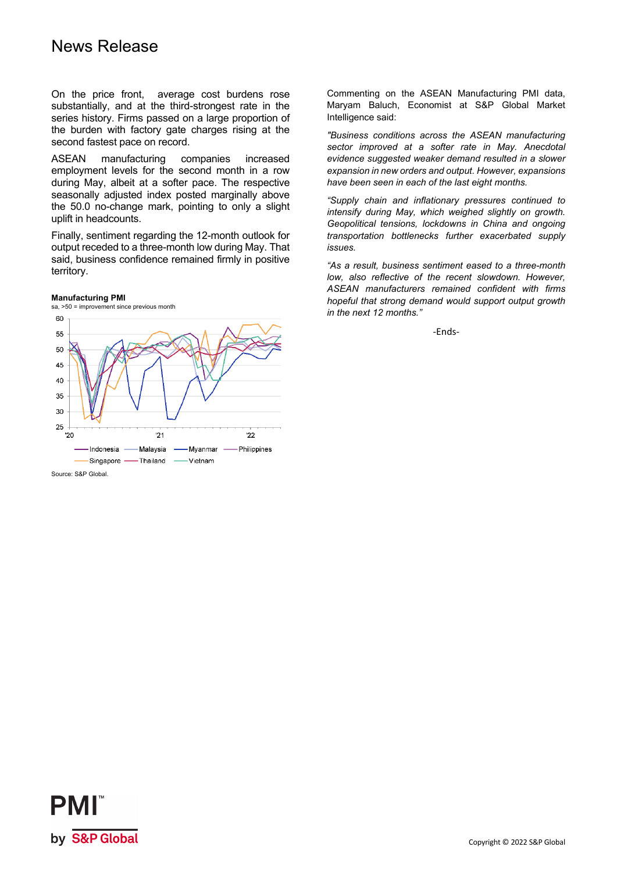# News Release

On the price front, average cost burdens rose substantially, and at the third-strongest rate in the series history. Firms passed on a large proportion of the burden with factory gate charges rising at the second fastest pace on record.

ASEAN manufacturing companies increased employment levels for the second month in a row during May, albeit at a softer pace. The respective seasonally adjusted index posted marginally above the 50.0 no-change mark, pointing to only a slight uplift in headcounts.

Finally, sentiment regarding the 12-month outlook for output receded to a three-month low during May. That said, business confidence remained firmly in positive territory.

#### **Manufacturing PMI**



Source: S&P Global.

Commenting on the ASEAN Manufacturing PMI data, Maryam Baluch, Economist at S&P Global Market Intelligence said:

*"Business conditions across the ASEAN manufacturing sector improved at a softer rate in May. Anecdotal evidence suggested weaker demand resulted in a slower expansion in new orders and output. However, expansions have been seen in each of the last eight months.*

*"Supply chain and inflationary pressures continued to intensify during May, which weighed slightly on growth. Geopolitical tensions, lockdowns in China and ongoing transportation bottlenecks further exacerbated supply issues.*

*"As a result, business sentiment eased to a three-month* low, also reflective of the recent slowdown. However, *ASEAN manufacturers remained confident with firms hopeful that strong demand would support output growth in the next 12 months."*

-Ends-